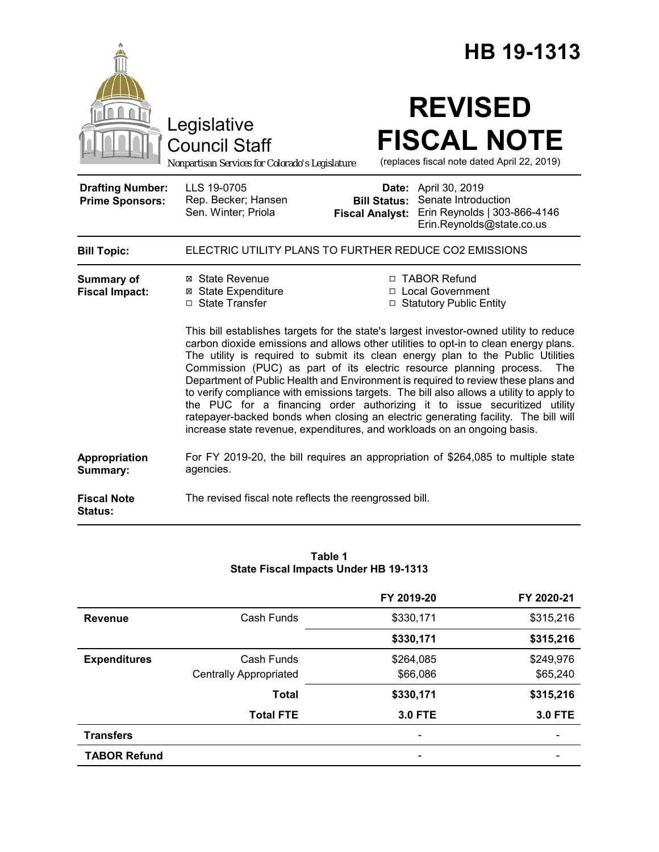|                                                   |                                                                                                                                                                                                                                                                                                                                                                                                                                                                                                           |                                               | HB 19-1313                                                                                                                                                                                                                                                                                                                             |  |  |
|---------------------------------------------------|-----------------------------------------------------------------------------------------------------------------------------------------------------------------------------------------------------------------------------------------------------------------------------------------------------------------------------------------------------------------------------------------------------------------------------------------------------------------------------------------------------------|-----------------------------------------------|----------------------------------------------------------------------------------------------------------------------------------------------------------------------------------------------------------------------------------------------------------------------------------------------------------------------------------------|--|--|
|                                                   | Legislative<br><b>Council Staff</b><br>Nonpartisan Services for Colorado's Legislature                                                                                                                                                                                                                                                                                                                                                                                                                    |                                               | <b>REVISED</b><br><b>FISCAL NOTE</b><br>(replaces fiscal note dated April 22, 2019)                                                                                                                                                                                                                                                    |  |  |
| <b>Drafting Number:</b><br><b>Prime Sponsors:</b> | LLS 19-0705<br>Rep. Becker; Hansen<br>Sen. Winter; Priola                                                                                                                                                                                                                                                                                                                                                                                                                                                 | <b>Bill Status:</b><br><b>Fiscal Analyst:</b> | Date: April 30, 2019<br>Senate Introduction<br>Erin Reynolds   303-866-4146<br>Erin.Reynolds@state.co.us                                                                                                                                                                                                                               |  |  |
| <b>Bill Topic:</b>                                | ELECTRIC UTILITY PLANS TO FURTHER REDUCE CO2 EMISSIONS                                                                                                                                                                                                                                                                                                                                                                                                                                                    |                                               |                                                                                                                                                                                                                                                                                                                                        |  |  |
| Summary of<br><b>Fiscal Impact:</b>               | ⊠ State Revenue<br>⊠ State Expenditure<br>□ State Transfer                                                                                                                                                                                                                                                                                                                                                                                                                                                |                                               | □ TABOR Refund<br>□ Local Government<br>□ Statutory Public Entity<br>This bill establishes targets for the state's largest investor-owned utility to reduce<br>carbon dioxide emissions and allows other utilities to opt-in to clean energy plans.<br>The utility is required to submit its clean energy plan to the Public Utilities |  |  |
|                                                   | Commission (PUC) as part of its electric resource planning process.<br>The<br>Department of Public Health and Environment is required to review these plans and<br>to verify compliance with emissions targets. The bill also allows a utility to apply to<br>the PUC for a financing order authorizing it to issue securitized utility<br>ratepayer-backed bonds when closing an electric generating facility. The bill will<br>increase state revenue, expenditures, and workloads on an ongoing basis. |                                               |                                                                                                                                                                                                                                                                                                                                        |  |  |
| Appropriation<br>Summary:                         | agencies.                                                                                                                                                                                                                                                                                                                                                                                                                                                                                                 |                                               | For FY 2019-20, the bill requires an appropriation of \$264,085 to multiple state                                                                                                                                                                                                                                                      |  |  |
| <b>Fiscal Note</b><br><b>Status:</b>              | The revised fiscal note reflects the reengrossed bill.                                                                                                                                                                                                                                                                                                                                                                                                                                                    |                                               |                                                                                                                                                                                                                                                                                                                                        |  |  |

| Table 1                               |  |  |  |  |
|---------------------------------------|--|--|--|--|
| State Fiscal Impacts Under HB 19-1313 |  |  |  |  |

|                     |                               | FY 2019-20               | FY 2020-21     |
|---------------------|-------------------------------|--------------------------|----------------|
| <b>Revenue</b>      | Cash Funds                    | \$330,171                | \$315,216      |
|                     |                               | \$330,171                | \$315,216      |
| <b>Expenditures</b> | Cash Funds                    | \$264,085                | \$249,976      |
|                     | <b>Centrally Appropriated</b> | \$66,086                 | \$65,240       |
|                     | <b>Total</b>                  | \$330,171                | \$315,216      |
|                     | <b>Total FTE</b>              | <b>3.0 FTE</b>           | <b>3.0 FTE</b> |
| <b>Transfers</b>    |                               |                          |                |
| <b>TABOR Refund</b> |                               | $\overline{\phantom{a}}$ |                |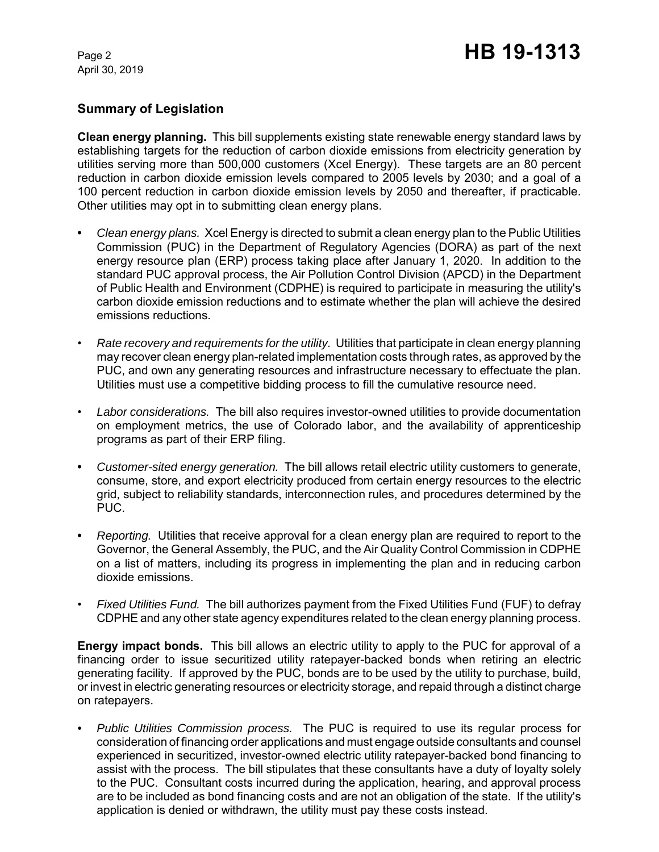## **Summary of Legislation**

**Clean energy planning.** This bill supplements existing state renewable energy standard laws by establishing targets for the reduction of carbon dioxide emissions from electricity generation by utilities serving more than 500,000 customers (Xcel Energy). These targets are an 80 percent reduction in carbon dioxide emission levels compared to 2005 levels by 2030; and a goal of a 100 percent reduction in carbon dioxide emission levels by 2050 and thereafter, if practicable. Other utilities may opt in to submitting clean energy plans.

- **•** *Clean energy plans.* Xcel Energy is directed to submit a clean energy plan to the Public Utilities Commission (PUC) in the Department of Regulatory Agencies (DORA) as part of the next energy resource plan (ERP) process taking place after January 1, 2020. In addition to the standard PUC approval process, the Air Pollution Control Division (APCD) in the Department of Public Health and Environment (CDPHE) is required to participate in measuring the utility's carbon dioxide emission reductions and to estimate whether the plan will achieve the desired emissions reductions.
- *Rate recovery and requirements for the utility.*Utilities that participate in clean energy planning may recover clean energy plan-related implementation costs through rates, as approved by the PUC, and own any generating resources and infrastructure necessary to effectuate the plan. Utilities must use a competitive bidding process to fill the cumulative resource need.
- *Labor considerations.* The bill also requires investor-owned utilities to provide documentation on employment metrics, the use of Colorado labor, and the availability of apprenticeship programs as part of their ERP filing.
- **•** *Customer-sited energy generation.* The bill allows retail electric utility customers to generate, consume, store, and export electricity produced from certain energy resources to the electric grid, subject to reliability standards, interconnection rules, and procedures determined by the PUC.
- **•** *Reporting.* Utilities that receive approval for a clean energy plan are required to report to the Governor, the General Assembly, the PUC, and the Air Quality Control Commission in CDPHE on a list of matters, including its progress in implementing the plan and in reducing carbon dioxide emissions.
- *Fixed Utilities Fund.* The bill authorizes payment from the Fixed Utilities Fund (FUF) to defray CDPHE and any other state agency expenditures related to the clean energy planning process.

**Energy impact bonds.** This bill allows an electric utility to apply to the PUC for approval of a financing order to issue securitized utility ratepayer-backed bonds when retiring an electric generating facility. If approved by the PUC, bonds are to be used by the utility to purchase, build, or invest in electric generating resources or electricity storage, and repaid through a distinct charge on ratepayers.

*• Public Utilities Commission process.* The PUC is required to use its regular process for consideration of financing order applications and must engage outside consultants and counsel experienced in securitized, investor-owned electric utility ratepayer-backed bond financing to assist with the process. The bill stipulates that these consultants have a duty of loyalty solely to the PUC. Consultant costs incurred during the application, hearing, and approval process are to be included as bond financing costs and are not an obligation of the state. If the utility's application is denied or withdrawn, the utility must pay these costs instead.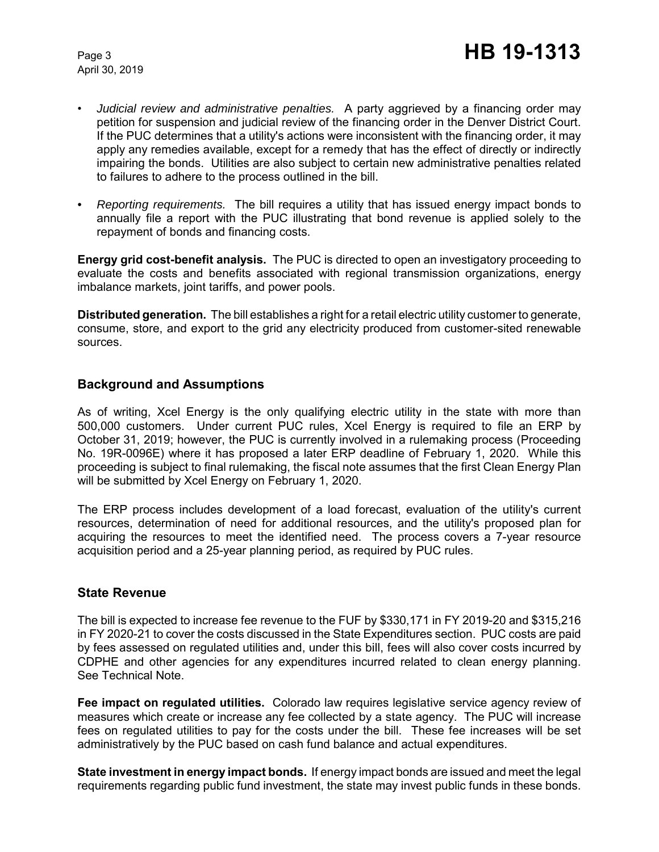- *Judicial review and administrative penalties.* A party aggrieved by a financing order may petition for suspension and judicial review of the financing order in the Denver District Court. If the PUC determines that a utility's actions were inconsistent with the financing order, it may apply any remedies available, except for a remedy that has the effect of directly or indirectly impairing the bonds. Utilities are also subject to certain new administrative penalties related to failures to adhere to the process outlined in the bill.
- *• Reporting requirements.* The bill requires a utility that has issued energy impact bonds to annually file a report with the PUC illustrating that bond revenue is applied solely to the repayment of bonds and financing costs.

**Energy grid cost-benefit analysis.** The PUC is directed to open an investigatory proceeding to evaluate the costs and benefits associated with regional transmission organizations, energy imbalance markets, joint tariffs, and power pools.

**Distributed generation.** The bill establishes a right for a retail electric utility customer to generate, consume, store, and export to the grid any electricity produced from customer-sited renewable sources.

### **Background and Assumptions**

As of writing, Xcel Energy is the only qualifying electric utility in the state with more than 500,000 customers. Under current PUC rules, Xcel Energy is required to file an ERP by October 31, 2019; however, the PUC is currently involved in a rulemaking process (Proceeding No. 19R-0096E) where it has proposed a later ERP deadline of February 1, 2020. While this proceeding is subject to final rulemaking, the fiscal note assumes that the first Clean Energy Plan will be submitted by Xcel Energy on February 1, 2020.

The ERP process includes development of a load forecast, evaluation of the utility's current resources, determination of need for additional resources, and the utility's proposed plan for acquiring the resources to meet the identified need. The process covers a 7-year resource acquisition period and a 25-year planning period, as required by PUC rules.

### **State Revenue**

The bill is expected to increase fee revenue to the FUF by \$330,171 in FY 2019-20 and \$315,216 in FY 2020-21 to cover the costs discussed in the State Expenditures section. PUC costs are paid by fees assessed on regulated utilities and, under this bill, fees will also cover costs incurred by CDPHE and other agencies for any expenditures incurred related to clean energy planning. See Technical Note.

**Fee impact on regulated utilities.** Colorado law requires legislative service agency review of measures which create or increase any fee collected by a state agency. The PUC will increase fees on regulated utilities to pay for the costs under the bill. These fee increases will be set administratively by the PUC based on cash fund balance and actual expenditures.

**State investment in energy impact bonds.** If energy impact bonds are issued and meet the legal requirements regarding public fund investment, the state may invest public funds in these bonds.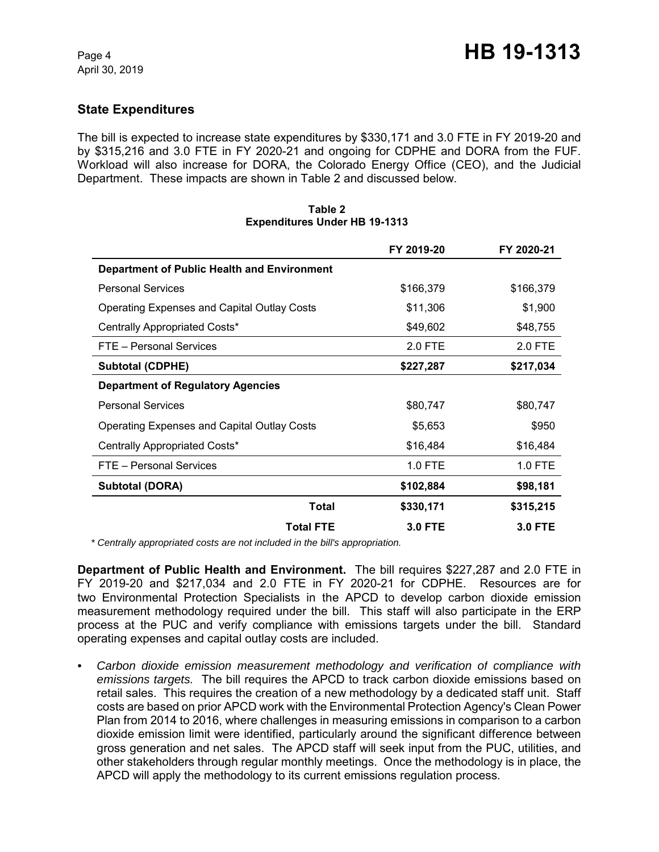### **State Expenditures**

The bill is expected to increase state expenditures by \$330,171 and 3.0 FTE in FY 2019-20 and by \$315,216 and 3.0 FTE in FY 2020-21 and ongoing for CDPHE and DORA from the FUF. Workload will also increase for DORA, the Colorado Energy Office (CEO), and the Judicial Department. These impacts are shown in Table 2 and discussed below.

|                                                    | FY 2019-20     | FY 2020-21     |
|----------------------------------------------------|----------------|----------------|
| Department of Public Health and Environment        |                |                |
| <b>Personal Services</b>                           | \$166,379      | \$166,379      |
| <b>Operating Expenses and Capital Outlay Costs</b> | \$11,306       | \$1,900        |
| Centrally Appropriated Costs*                      | \$49,602       | \$48,755       |
| FTE - Personal Services                            | 2.0 FTE        | 2.0 FTE        |
| <b>Subtotal (CDPHE)</b>                            | \$227,287      | \$217,034      |
| <b>Department of Regulatory Agencies</b>           |                |                |
| <b>Personal Services</b>                           | \$80,747       | \$80,747       |
| <b>Operating Expenses and Capital Outlay Costs</b> | \$5,653        | \$950          |
| Centrally Appropriated Costs*                      | \$16,484       | \$16,484       |
| FTE - Personal Services                            | 1.0 FTE        | $1.0$ FTE      |
| <b>Subtotal (DORA)</b>                             | \$102,884      | \$98,181       |
| <b>Total</b>                                       | \$330,171      | \$315,215      |
| <b>Total FTE</b>                                   | <b>3.0 FTE</b> | <b>3.0 FTE</b> |

#### **Table 2 Expenditures Under HB 19-1313**

 *\* Centrally appropriated costs are not included in the bill's appropriation.*

**Department of Public Health and Environment.** The bill requires \$227,287 and 2.0 FTE in FY 2019-20 and \$217,034 and 2.0 FTE in FY 2020-21 for CDPHE. Resources are for two Environmental Protection Specialists in the APCD to develop carbon dioxide emission measurement methodology required under the bill. This staff will also participate in the ERP process at the PUC and verify compliance with emissions targets under the bill. Standard operating expenses and capital outlay costs are included.

*• Carbon dioxide emission measurement methodology and verification of compliance with emissions targets.* The bill requires the APCD to track carbon dioxide emissions based on retail sales. This requires the creation of a new methodology by a dedicated staff unit. Staff costs are based on prior APCD work with the Environmental Protection Agency's Clean Power Plan from 2014 to 2016, where challenges in measuring emissions in comparison to a carbon dioxide emission limit were identified, particularly around the significant difference between gross generation and net sales. The APCD staff will seek input from the PUC, utilities, and other stakeholders through regular monthly meetings. Once the methodology is in place, the APCD will apply the methodology to its current emissions regulation process.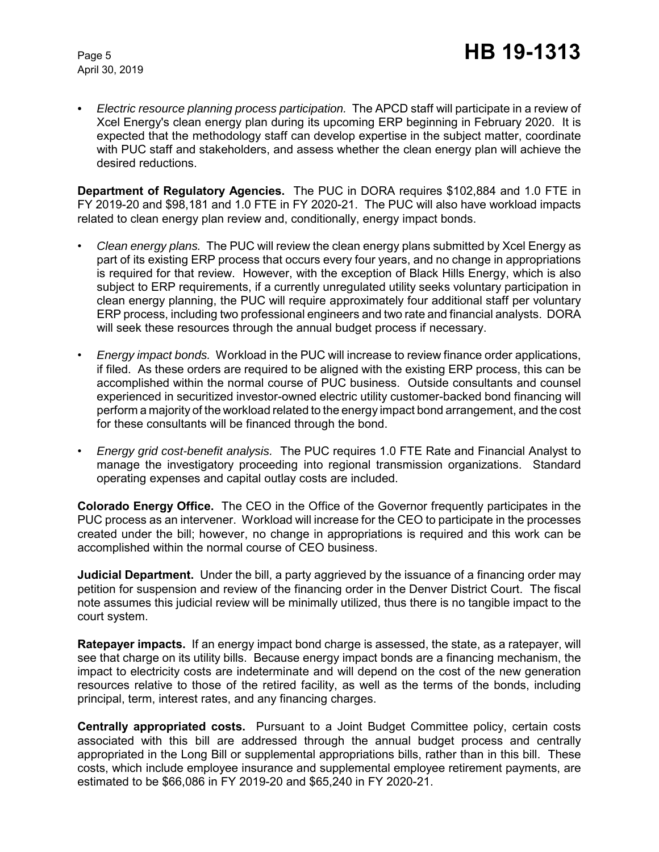*• Electric resource planning process participation.* The APCD staff will participate in a review of Xcel Energy's clean energy plan during its upcoming ERP beginning in February 2020. It is expected that the methodology staff can develop expertise in the subject matter, coordinate with PUC staff and stakeholders, and assess whether the clean energy plan will achieve the desired reductions.

**Department of Regulatory Agencies.** The PUC in DORA requires \$102,884 and 1.0 FTE in FY 2019-20 and \$98,181 and 1.0 FTE in FY 2020-21. The PUC will also have workload impacts related to clean energy plan review and, conditionally, energy impact bonds.

- *Clean energy plans.* The PUC will review the clean energy plans submitted by Xcel Energy as part of its existing ERP process that occurs every four years, and no change in appropriations is required for that review. However, with the exception of Black Hills Energy, which is also subject to ERP requirements, if a currently unregulated utility seeks voluntary participation in clean energy planning, the PUC will require approximately four additional staff per voluntary ERP process, including two professional engineers and two rate and financial analysts. DORA will seek these resources through the annual budget process if necessary.
- *Energy impact bonds.* Workload in the PUC will increase to review finance order applications, if filed. As these orders are required to be aligned with the existing ERP process, this can be accomplished within the normal course of PUC business. Outside consultants and counsel experienced in securitized investor-owned electric utility customer-backed bond financing will perform a majority of the workload related to the energy impact bond arrangement, and the cost for these consultants will be financed through the bond.
- *Energy grid cost-benefit analysis.* The PUC requires 1.0 FTE Rate and Financial Analyst to manage the investigatory proceeding into regional transmission organizations. Standard operating expenses and capital outlay costs are included.

**Colorado Energy Office.** The CEO in the Office of the Governor frequently participates in the PUC process as an intervener. Workload will increase for the CEO to participate in the processes created under the bill; however, no change in appropriations is required and this work can be accomplished within the normal course of CEO business.

**Judicial Department.** Under the bill, a party aggrieved by the issuance of a financing order may petition for suspension and review of the financing order in the Denver District Court. The fiscal note assumes this judicial review will be minimally utilized, thus there is no tangible impact to the court system.

**Ratepayer impacts.** If an energy impact bond charge is assessed, the state, as a ratepayer, will see that charge on its utility bills. Because energy impact bonds are a financing mechanism, the impact to electricity costs are indeterminate and will depend on the cost of the new generation resources relative to those of the retired facility, as well as the terms of the bonds, including principal, term, interest rates, and any financing charges.

**Centrally appropriated costs.** Pursuant to a Joint Budget Committee policy, certain costs associated with this bill are addressed through the annual budget process and centrally appropriated in the Long Bill or supplemental appropriations bills, rather than in this bill. These costs, which include employee insurance and supplemental employee retirement payments, are estimated to be \$66,086 in FY 2019-20 and \$65,240 in FY 2020-21.